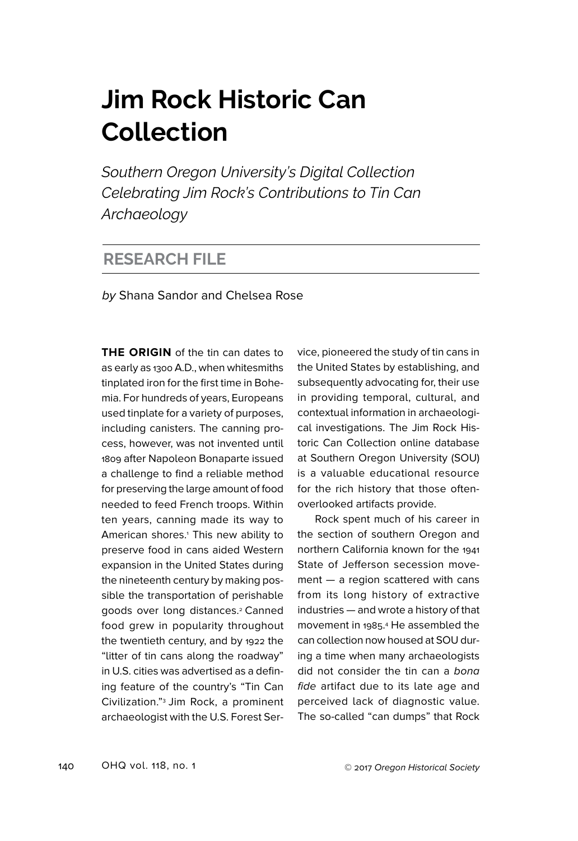## **Jim Rock Historic Can Collection**

*Southern Oregon University's Digital Collection Celebrating Jim Rock's Contributions to Tin Can Archaeology*

## **RESEARCH FILE**

by Shana Sandor and Chelsea Rose

**THE ORIGIN** of the tin can dates to as early as 1300 A.D., when whitesmiths tinplated iron for the first time in Bohemia. For hundreds of years, Europeans used tinplate for a variety of purposes, including canisters. The canning process, however, was not invented until 1809 after Napoleon Bonaparte issued a challenge to find a reliable method for preserving the large amount of food needed to feed French troops. Within ten years, canning made its way to American shores.<sup>1</sup> This new ability to preserve food in cans aided Western expansion in the United States during the nineteenth century by making possible the transportation of perishable goods over long distances.<sup>2</sup> Canned food grew in popularity throughout the twentieth century, and by 1922 the "litter of tin cans along the roadway" in U.S. cities was advertised as a defining feature of the country's "Tin Can Civilization."3 Jim Rock, a prominent archaeologist with the U.S. Forest Service, pioneered the study of tin cans in the United States by establishing, and subsequently advocating for, their use in providing temporal, cultural, and contextual information in archaeological investigations. The Jim Rock Historic Can Collection online database at Southern Oregon University (SOU) is a valuable educational resource for the rich history that those oftenoverlooked artifacts provide.

Rock spent much of his career in the section of southern Oregon and northern California known for the 1941 State of Jefferson secession movement — a region scattered with cans from its long history of extractive industries — and wrote a history of that movement in 1985. 4 He assembled the can collection now housed at SOU during a time when many archaeologists did not consider the tin can a bona fide artifact due to its late age and perceived lack of diagnostic value. The so-called "can dumps" that Rock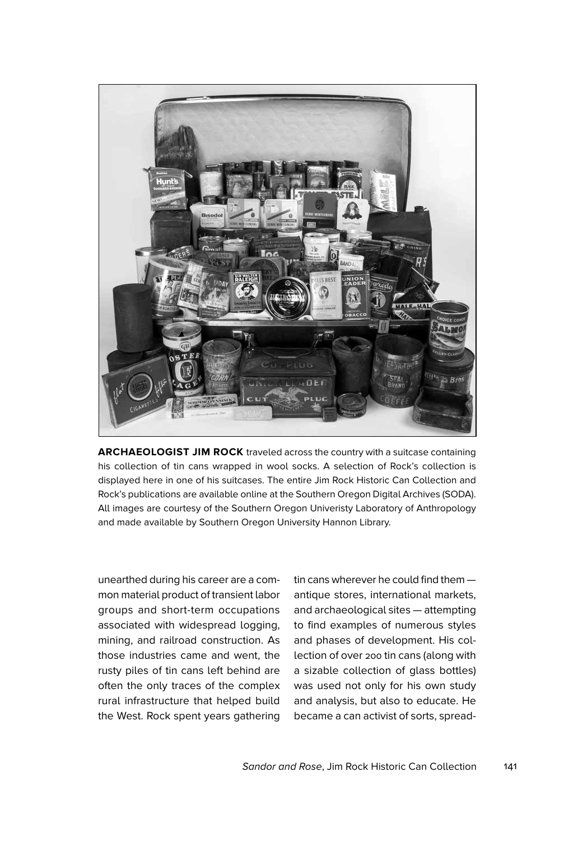

**ARCHAEOLOGIST JIM ROCK** traveled across the country with a suitcase containing his collection of tin cans wrapped in wool socks. A selection of Rock's collection is displayed here in one of his suitcases. The entire Jim Rock Historic Can Collection and Rock's publications are available online at the Southern Oregon Digital Archives (SODA). All images are courtesy of the Southern Oregon Univeristy Laboratory of Anthropology and made available by Southern Oregon University Hannon Library.

unearthed during his career are a common material product of transient labor groups and short-term occupations associated with widespread logging, mining, and railroad construction. As those industries came and went, the rusty piles of tin cans left behind are often the only traces of the complex rural infrastructure that helped build the West. Rock spent years gathering

tin cans wherever he could find them antique stores, international markets, and archaeological sites — attempting to find examples of numerous styles and phases of development. His collection of over 200 tin cans (along with a sizable collection of glass bottles) was used not only for his own study and analysis, but also to educate. He became a can activist of sorts, spread-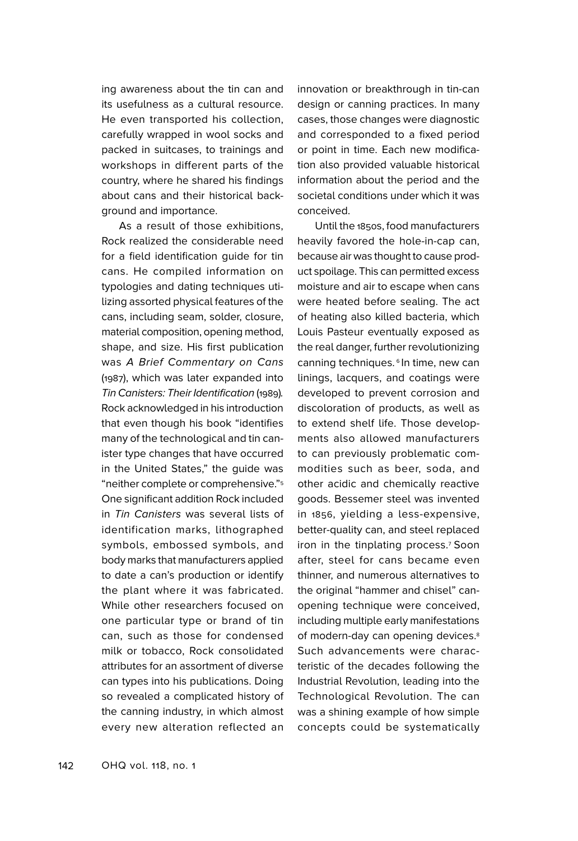ing awareness about the tin can and its usefulness as a cultural resource. He even transported his collection, carefully wrapped in wool socks and packed in suitcases, to trainings and workshops in different parts of the country, where he shared his findings about cans and their historical background and importance.

As a result of those exhibitions, Rock realized the considerable need for a field identification guide for tin cans. He compiled information on typologies and dating techniques utilizing assorted physical features of the cans, including seam, solder, closure, material composition, opening method, shape, and size. His first publication was A Brief Commentary on Cans (1987), which was later expanded into Tin Canisters: Their Identification (1989). Rock acknowledged in his introduction that even though his book "identifies many of the technological and tin canister type changes that have occurred in the United States," the guide was "neither complete or comprehensive."5 One significant addition Rock included in Tin Canisters was several lists of identification marks, lithographed symbols, embossed symbols, and body marks that manufacturers applied to date a can's production or identify the plant where it was fabricated. While other researchers focused on one particular type or brand of tin can, such as those for condensed milk or tobacco, Rock consolidated attributes for an assortment of diverse can types into his publications. Doing so revealed a complicated history of the canning industry, in which almost every new alteration reflected an

innovation or breakthrough in tin-can design or canning practices. In many cases, those changes were diagnostic and corresponded to a fixed period or point in time. Each new modification also provided valuable historical information about the period and the societal conditions under which it was conceived.

Until the 1850s, food manufacturers heavily favored the hole-in-cap can, because air was thought to cause product spoilage. This can permitted excess moisture and air to escape when cans were heated before sealing. The act of heating also killed bacteria, which Louis Pasteur eventually exposed as the real danger, further revolutionizing canning techniques.<sup>6</sup> In time, new can linings, lacquers, and coatings were developed to prevent corrosion and discoloration of products, as well as to extend shelf life. Those developments also allowed manufacturers to can previously problematic commodities such as beer, soda, and other acidic and chemically reactive goods. Bessemer steel was invented in 1856, yielding a less-expensive, better-quality can, and steel replaced iron in the tinplating process.7 Soon after, steel for cans became even thinner, and numerous alternatives to the original "hammer and chisel" canopening technique were conceived, including multiple early manifestations of modern-day can opening devices.<sup>8</sup> Such advancements were characteristic of the decades following the Industrial Revolution, leading into the Technological Revolution. The can was a shining example of how simple concepts could be systematically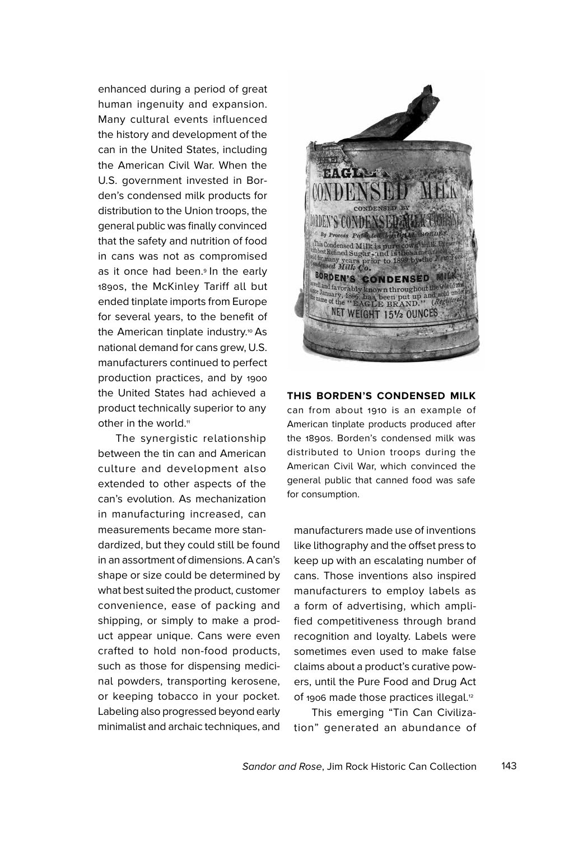enhanced during a period of great human ingenuity and expansion. Many cultural events influenced the history and development of the can in the United States, including the American Civil War. When the U.S. government invested in Borden's condensed milk products for distribution to the Union troops, the general public was finally convinced that the safety and nutrition of food in cans was not as compromised as it once had been.<sup>9</sup> In the early 1890s, the McKinley Tariff all but ended tinplate imports from Europe for several years, to the benefit of the American tinplate industry.<sup>10</sup> As national demand for cans grew, U.S. manufacturers continued to perfect production practices, and by 1900 the United States had achieved a product technically superior to any other in the world.<sup>11</sup>

The synergistic relationship between the tin can and American culture and development also extended to other aspects of the can's evolution. As mechanization in manufacturing increased, can measurements became more standardized, but they could still be found in an assortment of dimensions. A can's shape or size could be determined by what best suited the product, customer convenience, ease of packing and shipping, or simply to make a product appear unique. Cans were even crafted to hold non-food products, such as those for dispensing medicinal powders, transporting kerosene, or keeping tobacco in your pocket. Labeling also progressed beyond early minimalist and archaic techniques, and



## **THIS BORDEN'S CONDENSED MILK**

can from about 1910 is an example of American tinplate products produced after the 1890s. Borden's condensed milk was distributed to Union troops during the American Civil War, which convinced the general public that canned food was safe for consumption.

manufacturers made use of inventions like lithography and the offset press to keep up with an escalating number of cans. Those inventions also inspired manufacturers to employ labels as a form of advertising, which amplified competitiveness through brand recognition and loyalty. Labels were sometimes even used to make false claims about a product's curative powers, until the Pure Food and Drug Act of 1906 made those practices illegal.<sup>12</sup>

This emerging "Tin Can Civilization" generated an abundance of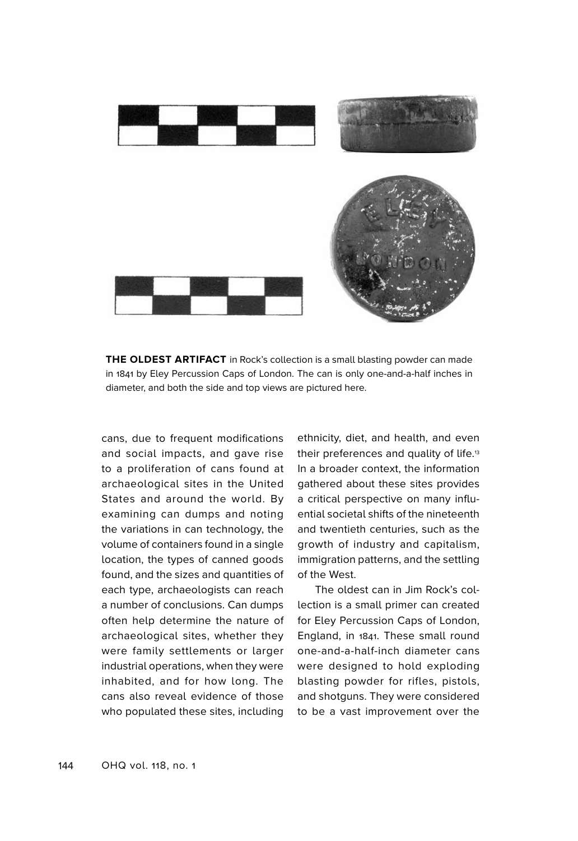

**THE OLDEST ARTIFACT** in Rock's collection is a small blasting powder can made in 1841 by Eley Percussion Caps of London. The can is only one-and-a-half inches in diameter, and both the side and top views are pictured here.

cans, due to frequent modifications and social impacts, and gave rise to a proliferation of cans found at archaeological sites in the United States and around the world. By examining can dumps and noting the variations in can technology, the volume of containers found in a single location, the types of canned goods found, and the sizes and quantities of each type, archaeologists can reach a number of conclusions. Can dumps often help determine the nature of archaeological sites, whether they were family settlements or larger industrial operations, when they were inhabited, and for how long. The cans also reveal evidence of those who populated these sites, including ethnicity, diet, and health, and even their preferences and quality of life.13 In a broader context, the information gathered about these sites provides a critical perspective on many influential societal shifts of the nineteenth and twentieth centuries, such as the growth of industry and capitalism, immigration patterns, and the settling of the West.

The oldest can in Jim Rock's collection is a small primer can created for Eley Percussion Caps of London, England, in 1841. These small round one-and-a-half-inch diameter cans were designed to hold exploding blasting powder for rifles, pistols, and shotguns. They were considered to be a vast improvement over the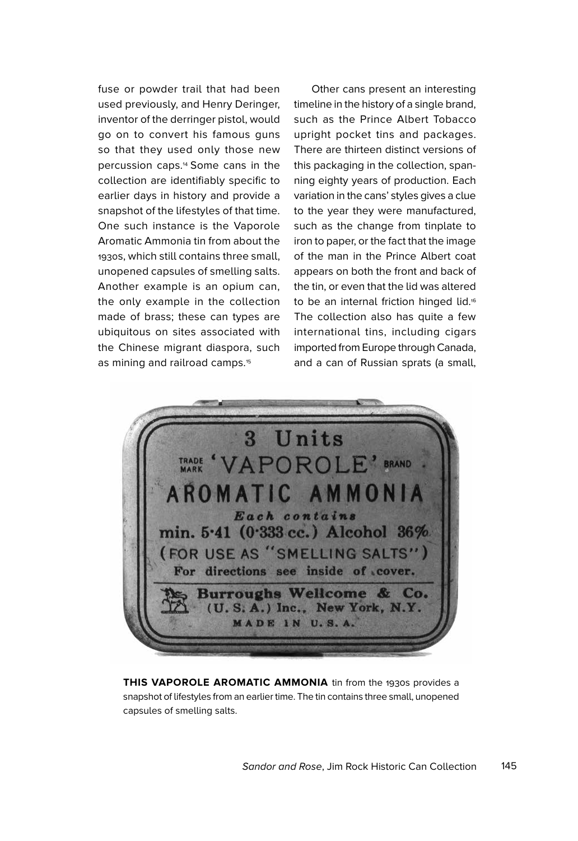fuse or powder trail that had been used previously, and Henry Deringer, inventor of the derringer pistol, would go on to convert his famous guns so that they used only those new percussion caps.14 Some cans in the collection are identifiably specific to earlier days in history and provide a snapshot of the lifestyles of that time. One such instance is the Vaporole Aromatic Ammonia tin from about the 1930s, which still contains three small, unopened capsules of smelling salts. Another example is an opium can, the only example in the collection made of brass; these can types are ubiquitous on sites associated with the Chinese migrant diaspora, such as mining and railroad camps.<sup>15</sup>

Other cans present an interesting timeline in the history of a single brand, such as the Prince Albert Tobacco upright pocket tins and packages. There are thirteen distinct versions of this packaging in the collection, spanning eighty years of production. Each variation in the cans' styles gives a clue to the year they were manufactured, such as the change from tinplate to iron to paper, or the fact that the image of the man in the Prince Albert coat appears on both the front and back of the tin, or even that the lid was altered to be an internal friction hinged lid.16 The collection also has quite a few international tins, including cigars imported from Europe through Canada, and a can of Russian sprats (a small,



**THIS VAPOROLE AROMATIC AMMONIA** tin from the 1930s provides a snapshot of lifestyles from an earlier time. The tin contains three small, unopened capsules of smelling salts.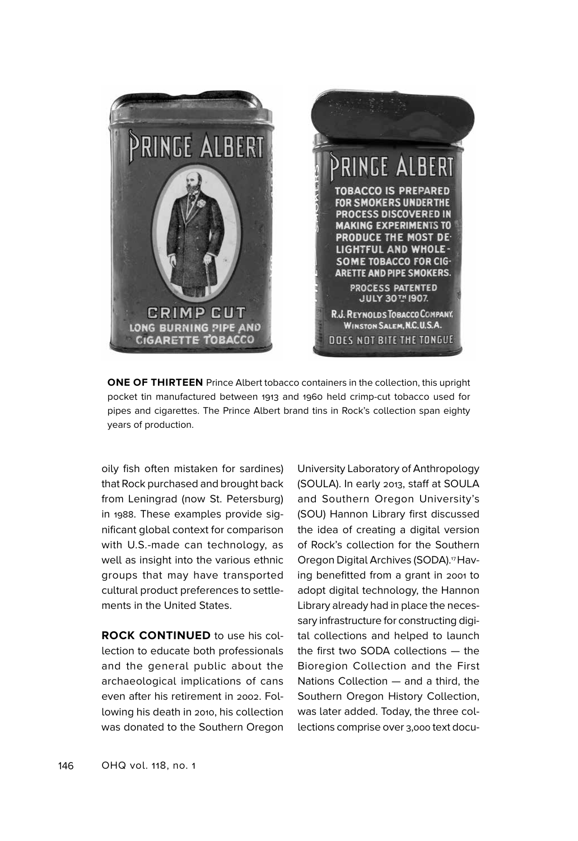

**ONE OF THIRTEEN** Prince Albert tobacco containers in the collection, this upright pocket tin manufactured between 1913 and 1960 held crimp-cut tobacco used for pipes and cigarettes. The Prince Albert brand tins in Rock's collection span eighty years of production.

oily fish often mistaken for sardines) that Rock purchased and brought back from Leningrad (now St. Petersburg) in 1988. These examples provide significant global context for comparison with U.S.-made can technology, as well as insight into the various ethnic groups that may have transported cultural product preferences to settlements in the United States.

**ROCK CONTINUED** to use his collection to educate both professionals and the general public about the archaeological implications of cans even after his retirement in 2002. Following his death in 2010, his collection was donated to the Southern Oregon University Laboratory of Anthropology (SOULA). In early 2013, staff at SOULA and Southern Oregon University's (SOU) Hannon Library first discussed the idea of creating a digital version of Rock's collection for the Southern Oregon Digital Archives (SODA).17Having benefitted from a grant in 2001 to adopt digital technology, the Hannon Library already had in place the necessary infrastructure for constructing digital collections and helped to launch the first two SODA collections — the Bioregion Collection and the First Nations Collection — and a third, the Southern Oregon History Collection, was later added. Today, the three collections comprise over 3,000 text docu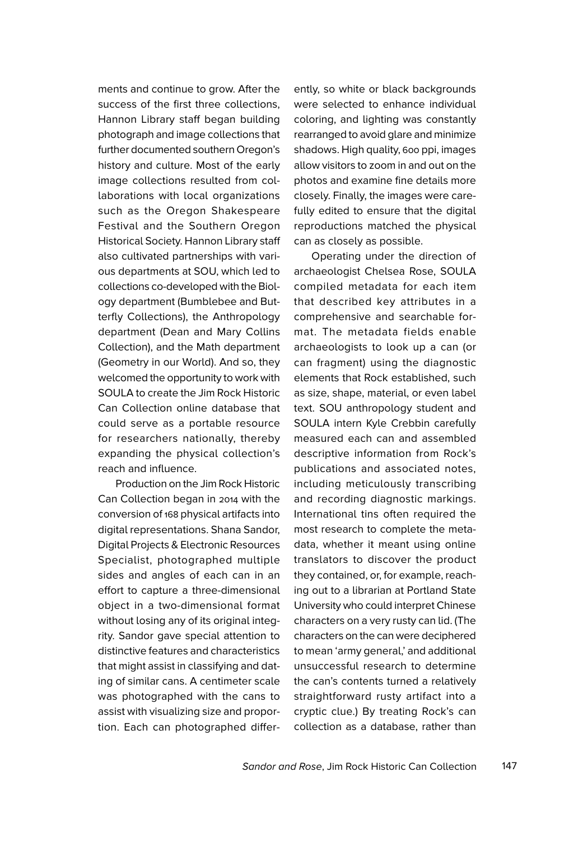ments and continue to grow. After the success of the first three collections, Hannon Library staff began building photograph and image collections that further documented southern Oregon's history and culture. Most of the early image collections resulted from collaborations with local organizations such as the Oregon Shakespeare Festival and the Southern Oregon Historical Society. Hannon Library staff also cultivated partnerships with various departments at SOU, which led to collections co-developed with the Biology department (Bumblebee and Butterfly Collections), the Anthropology department (Dean and Mary Collins Collection), and the Math department (Geometry in our World). And so, they welcomed the opportunity to work with SOULA to create the Jim Rock Historic Can Collection online database that could serve as a portable resource for researchers nationally, thereby expanding the physical collection's reach and influence.

Production on the Jim Rock Historic Can Collection began in 2014 with the conversion of 168 physical artifacts into digital representations. Shana Sandor, Digital Projects & Electronic Resources Specialist, photographed multiple sides and angles of each can in an effort to capture a three-dimensional object in a two-dimensional format without losing any of its original integrity. Sandor gave special attention to distinctive features and characteristics that might assist in classifying and dating of similar cans. A centimeter scale was photographed with the cans to assist with visualizing size and proportion. Each can photographed differently, so white or black backgrounds were selected to enhance individual coloring, and lighting was constantly rearranged to avoid glare and minimize shadows. High quality, 600 ppi, images allow visitors to zoom in and out on the photos and examine fine details more closely. Finally, the images were carefully edited to ensure that the digital reproductions matched the physical can as closely as possible.

Operating under the direction of archaeologist Chelsea Rose, SOULA compiled metadata for each item that described key attributes in a comprehensive and searchable format. The metadata fields enable archaeologists to look up a can (or can fragment) using the diagnostic elements that Rock established, such as size, shape, material, or even label text. SOU anthropology student and SOULA intern Kyle Crebbin carefully measured each can and assembled descriptive information from Rock's publications and associated notes, including meticulously transcribing and recording diagnostic markings. International tins often required the most research to complete the metadata, whether it meant using online translators to discover the product they contained, or, for example, reaching out to a librarian at Portland State University who could interpret Chinese characters on a very rusty can lid. (The characters on the can were deciphered to mean 'army general,' and additional unsuccessful research to determine the can's contents turned a relatively straightforward rusty artifact into a cryptic clue.) By treating Rock's can collection as a database, rather than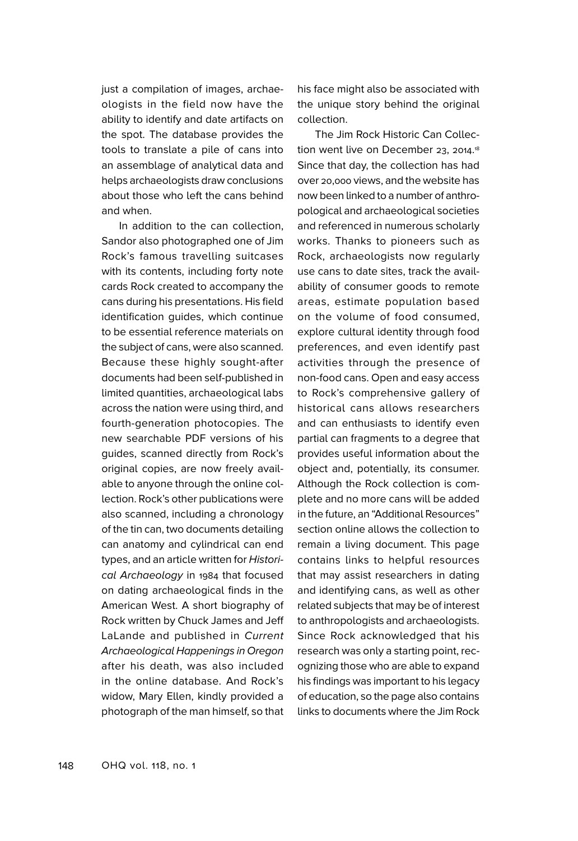just a compilation of images, archaeologists in the field now have the ability to identify and date artifacts on the spot. The database provides the tools to translate a pile of cans into an assemblage of analytical data and helps archaeologists draw conclusions about those who left the cans behind and when.

In addition to the can collection, Sandor also photographed one of Jim Rock's famous travelling suitcases with its contents, including forty note cards Rock created to accompany the cans during his presentations. His field identification guides, which continue to be essential reference materials on the subject of cans, were also scanned. Because these highly sought-after documents had been self-published in limited quantities, archaeological labs across the nation were using third, and fourth-generation photocopies. The new searchable PDF versions of his guides, scanned directly from Rock's original copies, are now freely available to anyone through the online collection. Rock's other publications were also scanned, including a chronology of the tin can, two documents detailing can anatomy and cylindrical can end types, and an article written for Historical Archaeology in 1984 that focused on dating archaeological finds in the American West. A short biography of Rock written by Chuck James and Jeff LaLande and published in Current Archaeological Happenings in Oregon after his death, was also included in the online database. And Rock's widow, Mary Ellen, kindly provided a photograph of the man himself, so that

his face might also be associated with the unique story behind the original collection.

The Jim Rock Historic Can Collection went live on December 23, 2014. 18 Since that day, the collection has had over 20,000 views, and the website has now been linked to a number of anthropological and archaeological societies and referenced in numerous scholarly works. Thanks to pioneers such as Rock, archaeologists now regularly use cans to date sites, track the availability of consumer goods to remote areas, estimate population based on the volume of food consumed, explore cultural identity through food preferences, and even identify past activities through the presence of non-food cans. Open and easy access to Rock's comprehensive gallery of historical cans allows researchers and can enthusiasts to identify even partial can fragments to a degree that provides useful information about the object and, potentially, its consumer. Although the Rock collection is complete and no more cans will be added in the future, an "Additional Resources" section online allows the collection to remain a living document. This page contains links to helpful resources that may assist researchers in dating and identifying cans, as well as other related subjects that may be of interest to anthropologists and archaeologists. Since Rock acknowledged that his research was only a starting point, recognizing those who are able to expand his findings was important to his legacy of education, so the page also contains links to documents where the Jim Rock